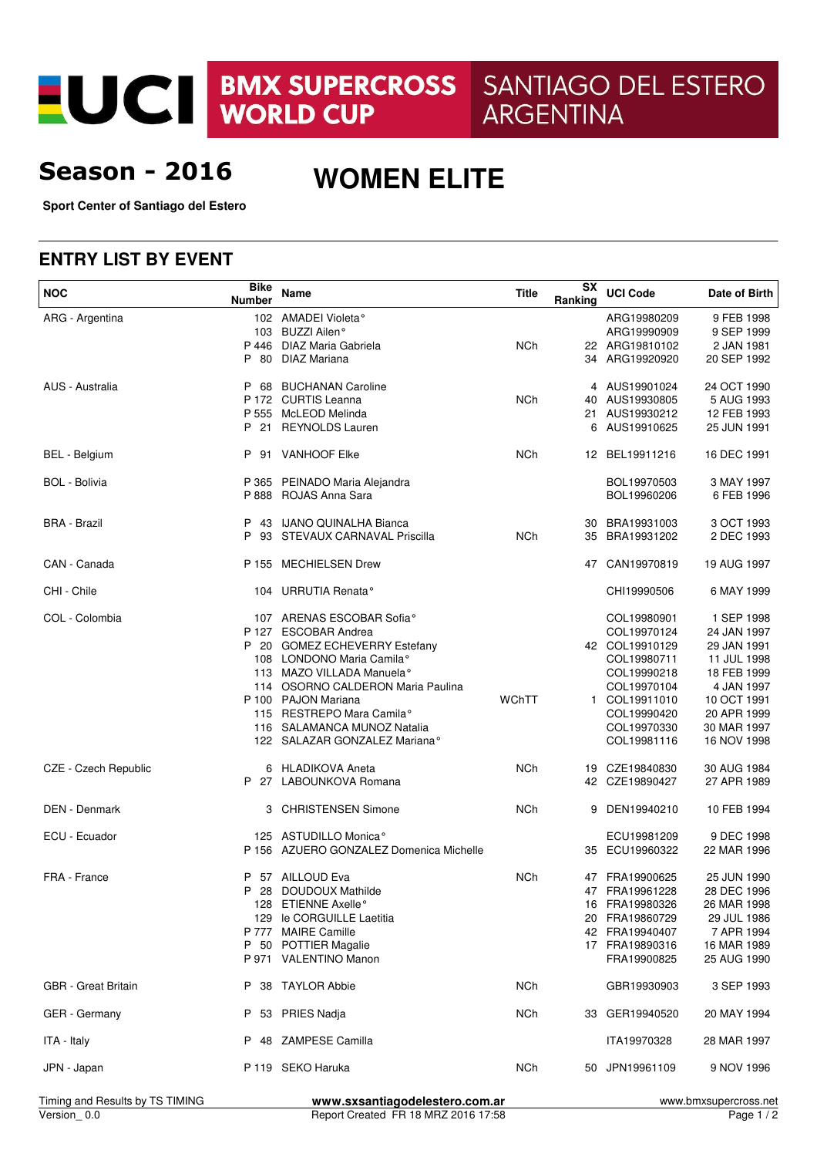EUCI BMX SUPERCROSS SANTIAGO DEL ESTERO **ARGENTINA** 

# **Season - 2016**

# **WOMEN ELITE**

**Sport Center of Santiago del Estero**

#### **ENTRY LIST BY EVENT**

| <b>NOC</b>                      | <b>Bike</b><br><b>Number</b> | Name                                                         | <b>Title</b>    | SX<br>Ranking | <b>UCI Code</b>            | Date of Birth              |
|---------------------------------|------------------------------|--------------------------------------------------------------|-----------------|---------------|----------------------------|----------------------------|
| ARG - Argentina                 |                              | 102 AMADEI Violeta <sup>°</sup>                              |                 |               | ARG19980209                | 9 FEB 1998                 |
|                                 |                              | 103 BUZZI Ailen°                                             |                 |               | ARG19990909                | 9 SEP 1999                 |
|                                 |                              | P 446 DIAZ Maria Gabriela                                    | <b>NCh</b>      |               | 22 ARG19810102             | 2 JAN 1981                 |
|                                 | P 80                         | <b>DIAZ Mariana</b>                                          |                 |               | 34 ARG19920920             | 20 SEP 1992                |
| AUS - Australia                 |                              | P 68 BUCHANAN Caroline                                       |                 |               | 4 AUS19901024              | 24 OCT 1990                |
|                                 |                              | P 172 CURTIS Leanna                                          | <b>NCh</b>      |               | 40 AUS19930805             | 5 AUG 1993                 |
|                                 |                              | P 555 McLEOD Melinda                                         |                 |               | 21 AUS19930212             | 12 FEB 1993                |
|                                 |                              | P 21 REYNOLDS Lauren                                         |                 | 6             | AUS19910625                | 25 JUN 1991                |
| <b>BEL</b> - Belgium            |                              | P 91 VANHOOF Elke                                            | <b>NCh</b>      |               | 12 BEL19911216             | 16 DEC 1991                |
| <b>BOL - Bolivia</b>            |                              | P 365 PEINADO Maria Alejandra                                |                 |               | BOL19970503                | 3 MAY 1997                 |
|                                 |                              | P 888 ROJAS Anna Sara                                        |                 |               | BOL19960206                | 6 FEB 1996                 |
| <b>BRA - Brazil</b>             |                              | P 43 IJANO QUINALHA Bianca                                   |                 |               | 30 BRA19931003             | 3 OCT 1993                 |
|                                 |                              | P 93 STEVAUX CARNAVAL Priscilla                              | <b>NCh</b>      |               | 35 BRA19931202             | 2 DEC 1993                 |
| CAN - Canada                    |                              | P 155 MECHIELSEN Drew                                        |                 |               | 47 CAN19970819             | 19 AUG 1997                |
|                                 |                              |                                                              |                 |               |                            |                            |
| CHI - Chile                     |                              | 104 URRUTIA Renata <sup>°</sup>                              |                 |               | CHI19990506                | 6 MAY 1999                 |
| COL - Colombia                  |                              | 107 ARENAS ESCOBAR Sofia°                                    |                 |               | COL19980901                | 1 SEP 1998                 |
|                                 |                              | P 127 ESCOBAR Andrea                                         |                 |               | COL19970124                | 24 JAN 1997                |
|                                 |                              | P 20 GOMEZ ECHEVERRY Estefany                                |                 |               | 42 COL19910129             | 29 JAN 1991                |
|                                 |                              | 108 LONDONO Maria Camila <sup>o</sup>                        |                 |               | COL19980711                | 11 JUL 1998                |
|                                 |                              | 113 MAZO VILLADA Manuela°                                    |                 |               | COL19990218                | 18 FEB 1999                |
|                                 |                              | 114 OSORNO CALDERON Maria Paulina                            |                 |               | COL19970104                | 4 JAN 1997                 |
|                                 |                              | P 100 PAJON Mariana                                          | WChTT           |               | 1 COL19911010              | 10 OCT 1991                |
|                                 |                              | 115 RESTREPO Mara Camila°                                    |                 |               | COL19990420                | 20 APR 1999                |
|                                 |                              | 116 SALAMANCA MUNOZ Natalia<br>122 SALAZAR GONZALEZ Mariana° |                 |               | COL19970330<br>COL19981116 | 30 MAR 1997<br>16 NOV 1998 |
|                                 |                              |                                                              |                 |               |                            |                            |
| CZE - Czech Republic            |                              | 6 HLADIKOVA Aneta                                            | <b>NCh</b>      |               | 19 CZE19840830             | 30 AUG 1984                |
|                                 |                              | P 27 LABOUNKOVA Romana                                       |                 |               | 42 CZE19890427             | 27 APR 1989                |
| DEN - Denmark                   | 3                            | <b>CHRISTENSEN Simone</b>                                    | <b>NCh</b>      | 9             | DEN19940210                | 10 FEB 1994                |
| ECU - Ecuador                   |                              | 125 ASTUDILLO Monica <sup>®</sup>                            |                 |               | ECU19981209                | 9 DEC 1998                 |
|                                 |                              | P 156 AZUERO GONZALEZ Domenica Michelle                      |                 |               | 35 ECU19960322             | 22 MAR 1996                |
| FRA - France                    | P                            | 57 AILLOUD Eva                                               | <b>NCh</b>      |               | 47 FRA19900625             | 25 JUN 1990                |
|                                 | P                            | 28 DOUDOUX Mathilde                                          |                 |               | 47 FRA19961228             | 28 DEC 1996                |
|                                 |                              | 128 ETIENNE Axelle°                                          |                 |               | 16 FRA19980326             | 26 MAR 1998                |
|                                 |                              | 129 le CORGUILLE Laetitia                                    |                 |               | 20 FRA19860729             | 29 JUL 1986                |
|                                 |                              | P 777 MAIRE Camille                                          |                 |               | 42 FRA19940407             | 7 APR 1994                 |
|                                 |                              | P 50 POTTIER Magalie                                         |                 |               | 17 FRA19890316             | 16 MAR 1989                |
|                                 |                              | P 971 VALENTINO Manon                                        |                 |               | FRA19900825                | 25 AUG 1990                |
| <b>GBR</b> - Great Britain      |                              | P 38 TAYLOR Abbie                                            | NC <sub>h</sub> |               | GBR19930903                | 3 SEP 1993                 |
| <b>GER</b> - Germany            |                              | P 53 PRIES Nadja                                             | <b>NCh</b>      |               | 33 GER19940520             | 20 MAY 1994                |
| ITA - Italy                     |                              | P 48 ZAMPESE Camilla                                         |                 |               | ITA19970328                | 28 MAR 1997                |
| JPN - Japan                     |                              | P 119 SEKO Haruka                                            | <b>NCh</b>      |               | 50 JPN19961109             | 9 NOV 1996                 |
| Timing and Results by TS TIMING |                              | www.sxsantiagodelestero.com.ar                               |                 |               |                            | www.bmxsupercross.net      |